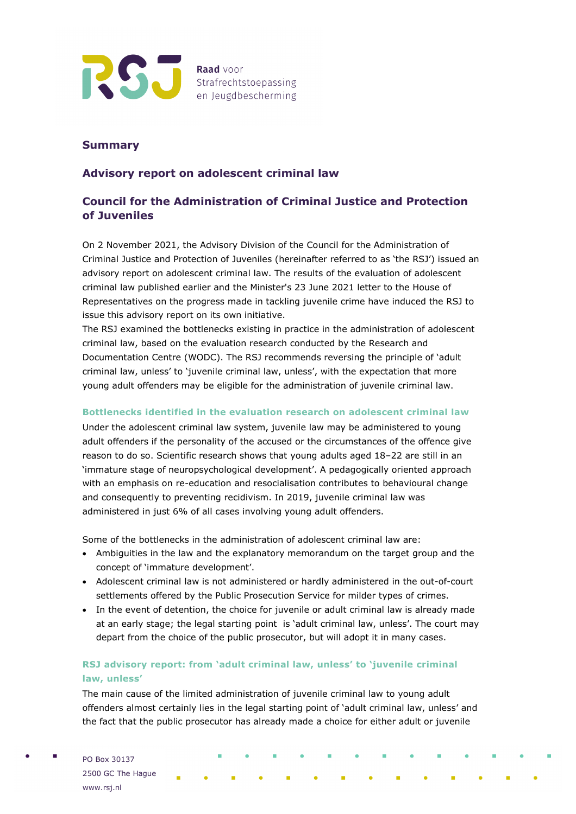

### **Summary**

## **Advisory report on adolescent criminal law**

# **Council for the Administration of Criminal Justice and Protection of Juveniles**

On 2 November 2021, the Advisory Division of the Council for the Administration of Criminal Justice and Protection of Juveniles (hereinafter referred to as 'the RSJ') issued an advisory report on adolescent criminal law. The results of the evaluation of adolescent criminal law published earlier and the Minister's 23 June 2021 letter to the House of Representatives on the progress made in tackling juvenile crime have induced the RSJ to issue this advisory report on its own initiative.

The RSJ examined the bottlenecks existing in practice in the administration of adolescent criminal law, based on the evaluation research conducted by the Research and Documentation Centre (WODC). The RSJ recommends reversing the principle of 'adult criminal law, unless' to 'juvenile criminal law, unless', with the expectation that more young adult offenders may be eligible for the administration of juvenile criminal law.

### **Bottlenecks identified in the evaluation research on adolescent criminal law**

Under the adolescent criminal law system, juvenile law may be administered to young adult offenders if the personality of the accused or the circumstances of the offence give reason to do so. Scientific research shows that young adults aged 18–22 are still in an 'immature stage of neuropsychological development'. A pedagogically oriented approach with an emphasis on re-education and resocialisation contributes to behavioural change and consequently to preventing recidivism. In 2019, juvenile criminal law was administered in just 6% of all cases involving young adult offenders.

Some of the bottlenecks in the administration of adolescent criminal law are:

- Ambiguities in the law and the explanatory memorandum on the target group and the concept of 'immature development'.
- Adolescent criminal law is not administered or hardly administered in the out-of-court settlements offered by the Public Prosecution Service for milder types of crimes.
- In the event of detention, the choice for juvenile or adult criminal law is already made at an early stage; the legal starting point is 'adult criminal law, unless'. The court may depart from the choice of the public prosecutor, but will adopt it in many cases.

## **RSJ advisory report: from 'adult criminal law, unless' to 'juvenile criminal law, unless'**

The main cause of the limited administration of juvenile criminal law to young adult offenders almost certainly lies in the legal starting point of 'adult criminal law, unless' and the fact that the public prosecutor has already made a choice for either adult or juvenile

PO Box 30137 2500 GC The Hague www.rsj.nl